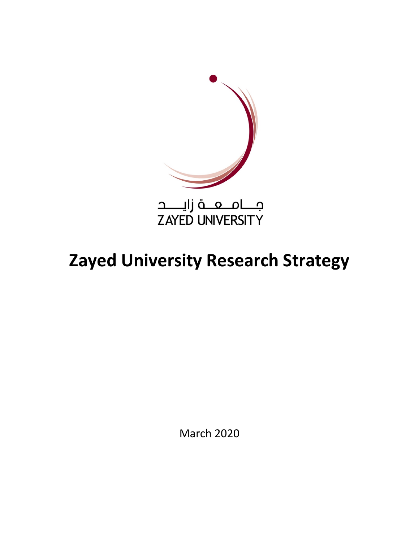

# **Zayed University Research Strategy**

March 2020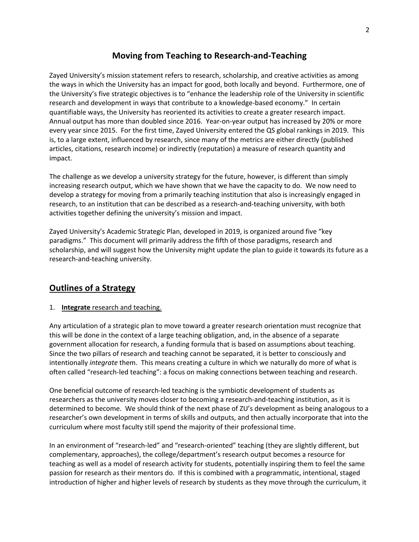# **Moving from Teaching to Research-and-Teaching**

Zayed University's mission statement refers to research, scholarship, and creative activities as among the ways in which the University has an impact for good, both locally and beyond. Furthermore, one of the University's five strategic objectives is to "enhance the leadership role of the University in scientific research and development in ways that contribute to a knowledge-based economy." In certain quantifiable ways, the University has reoriented its activities to create a greater research impact. Annual output has more than doubled since 2016. Year-on-year output has increased by 20% or more every year since 2015. For the first time, Zayed University entered the QS global rankings in 2019. This is, to a large extent, influenced by research, since many of the metrics are either directly (published articles, citations, research income) or indirectly (reputation) a measure of research quantity and impact.

The challenge as we develop a university strategy for the future, however, is different than simply increasing research output, which we have shown that we have the capacity to do. We now need to develop a strategy for moving from a primarily teaching institution that also is increasingly engaged in research, to an institution that can be described as a research-and-teaching university, with both activities together defining the university's mission and impact.

Zayed University's Academic Strategic Plan, developed in 2019, is organized around five "key paradigms." This document will primarily address the fifth of those paradigms, research and scholarship, and will suggest how the University might update the plan to guide it towards its future as a research-and-teaching university.

# **Outlines of a Strategy**

## 1. **Integrate** research and teaching.

Any articulation of a strategic plan to move toward a greater research orientation must recognize that this will be done in the context of a large teaching obligation, and, in the absence of a separate government allocation for research, a funding formula that is based on assumptions about teaching. Since the two pillars of research and teaching cannot be separated, it is better to consciously and intentionally *integrate* them. This means creating a culture in which we naturally do more of what is often called "research-led teaching": a focus on making connections between teaching and research.

One beneficial outcome of research-led teaching is the symbiotic development of students as researchers as the university moves closer to becoming a research-and-teaching institution, as it is determined to become. We should think of the next phase of ZU's development as being analogous to a researcher's own development in terms of skills and outputs, and then actually incorporate that into the curriculum where most faculty still spend the majority of their professional time.

In an environment of "research-led" and "research-oriented" teaching (they are slightly different, but complementary, approaches), the college/department's research output becomes a resource for teaching as well as a model of research activity for students, potentially inspiring them to feel the same passion for research as their mentors do. If this is combined with a programmatic, intentional, staged introduction of higher and higher levels of research by students as they move through the curriculum, it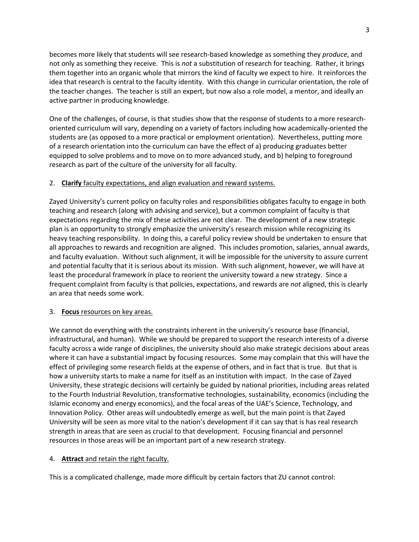becomes more likely that students will see research-based knowledge as something they *produce*, and not only as something they receive. This is *not* a substitution of research for teaching. Rather, it brings them together into an organic whole that mirrors the kind of faculty we expect to hire. It reinforces the idea that research is central to the faculty identity. With this change in curricular orientation, the role of the teacher changes. The teacher is still an expert, but now also a role model, a mentor, and ideally an active partner in producing knowledge.

One of the challenges, of course, is that studies show that the response of students to a more researchoriented curriculum will vary, depending on a variety of factors including how academically-oriented the students are (as opposed to a more practical or employment orientation). Nevertheless, putting more of a research orientation into the curriculum can have the effect of a) producing graduates better equipped to solve problems and to move on to more advanced study, and b) helping to foreground research as part of the culture of the university for all faculty.

# 2. **Clarify** faculty expectations, and align evaluation and reward systems.

Zayed University's current policy on faculty roles and responsibilities obligates faculty to engage in both teaching and research (along with advising and service), but a common complaint of faculty is that expectations regarding the mix of these activities are not clear. The development of a new strategic plan is an opportunity to strongly emphasize the university's research mission while recognizing its heavy teaching responsibility. In doing this, a careful policy review should be undertaken to ensure that all approaches to rewards and recognition are aligned. This includes promotion, salaries, annual awards, and faculty evaluation. Without such alignment, it will be impossible for the university to assure current and potential faculty that it is serious about its mission. With such alignment, however, we will have at least the procedural framework in place to reorient the university toward a new strategy. Since a frequent complaint from faculty is that policies, expectations, and rewards are *not* aligned, this is clearly an area that needs some work.

## 3. **Focus** resources on key areas.

We cannot do everything with the constraints inherent in the university's resource base (financial, infrastructural, and human). While we should be prepared to support the research interests of a diverse faculty across a wide range of disciplines, the university should also make strategic decisions about areas where it can have a substantial impact by focusing resources. Some may complain that this will have the effect of privileging some research fields at the expense of others, and in fact that is true. But that is how a university starts to make a name for itself as an institution with impact. In the case of Zayed University, these strategic decisions will certainly be guided by national priorities, including areas related to the Fourth Industrial Revolution, transformative technologies, sustainability, economics (including the Islamic economy and energy economics), and the focal areas of the UAE's Science, Technology, and Innovation Policy. Other areas will undoubtedly emerge as well, but the main point is that Zayed University will be seen as more vital to the nation's development if it can say that is has real research strength in areas that are seen as crucial to that development. Focusing financial and personnel resources in those areas will be an important part of a new research strategy.

## 4. **Attract** and retain the right faculty.

This is a complicated challenge, made more difficult by certain factors that ZU cannot control: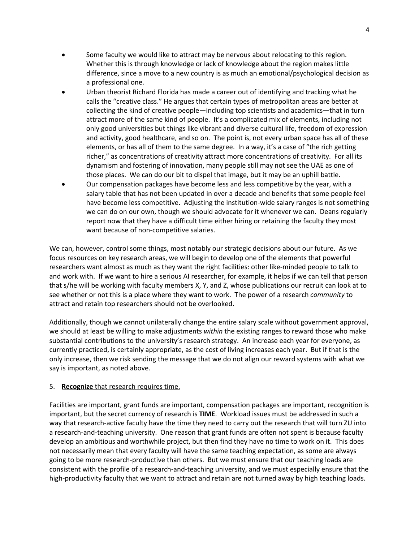- Some faculty we would like to attract may be nervous about relocating to this region. Whether this is through knowledge or lack of knowledge about the region makes little difference, since a move to a new country is as much an emotional/psychological decision as a professional one.
- Urban theorist Richard Florida has made a career out of identifying and tracking what he calls the "creative class." He argues that certain types of metropolitan areas are better at collecting the kind of creative people—including top scientists and academics—that in turn attract more of the same kind of people. It's a complicated mix of elements, including not only good universities but things like vibrant and diverse cultural life, freedom of expression and activity, good healthcare, and so on. The point is, not every urban space has all of these elements, or has all of them to the same degree. In a way, it's a case of "the rich getting richer," as concentrations of creativity attract more concentrations of creativity. For all its dynamism and fostering of innovation, many people still may not see the UAE as one of those places. We can do our bit to dispel that image, but it may be an uphill battle.
- Our compensation packages have become less and less competitive by the year, with a salary table that has not been updated in over a decade and benefits that some people feel have become less competitive. Adjusting the institution-wide salary ranges is not something we can do on our own, though we should advocate for it whenever we can. Deans regularly report now that they have a difficult time either hiring or retaining the faculty they most want because of non-competitive salaries.

We can, however, control some things, most notably our strategic decisions about our future. As we focus resources on key research areas, we will begin to develop one of the elements that powerful researchers want almost as much as they want the right facilities: other like-minded people to talk to and work with. If we want to hire a serious AI researcher, for example, it helps if we can tell that person that s/he will be working with faculty members X, Y, and Z, whose publications our recruit can look at to see whether or not this is a place where they want to work. The power of a research *community* to attract and retain top researchers should not be overlooked.

Additionally, though we cannot unilaterally change the entire salary scale without government approval, we should at least be willing to make adjustments *within* the existing ranges to reward those who make substantial contributions to the university's research strategy. An increase each year for everyone, as currently practiced, is certainly appropriate, as the cost of living increases each year. But if that is the only increase, then we risk sending the message that we do not align our reward systems with what we say is important, as noted above.

## 5. **Recognize** that research requires time.

Facilities are important, grant funds are important, compensation packages are important, recognition is important, but the secret currency of research is **TIME**. Workload issues must be addressed in such a way that research-active faculty have the time they need to carry out the research that will turn ZU into a research-and-teaching university. One reason that grant funds are often not spent is because faculty develop an ambitious and worthwhile project, but then find they have no time to work on it. This does not necessarily mean that every faculty will have the same teaching expectation, as some are always going to be more research-productive than others. But we must ensure that our teaching loads are consistent with the profile of a research-and-teaching university, and we must especially ensure that the high-productivity faculty that we want to attract and retain are not turned away by high teaching loads.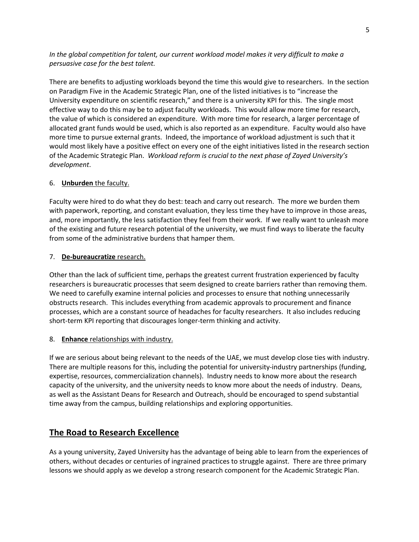*In the global competition for talent, our current workload model makes it very difficult to make a persuasive case for the best talent.*

There are benefits to adjusting workloads beyond the time this would give to researchers. In the section on Paradigm Five in the Academic Strategic Plan, one of the listed initiatives is to "increase the University expenditure on scientific research," and there is a university KPI for this. The single most effective way to do this may be to adjust faculty workloads. This would allow more time for research, the value of which is considered an expenditure. With more time for research, a larger percentage of allocated grant funds would be used, which is also reported as an expenditure. Faculty would also have more time to pursue external grants. Indeed, the importance of workload adjustment is such that it would most likely have a positive effect on every one of the eight initiatives listed in the research section of the Academic Strategic Plan. *Workload reform is crucial to the next phase of Zayed University's development*.

#### 6. **Unburden** the faculty.

Faculty were hired to do what they do best: teach and carry out research. The more we burden them with paperwork, reporting, and constant evaluation, they less time they have to improve in those areas, and, more importantly, the less satisfaction they feel from their work. If we really want to unleash more of the existing and future research potential of the university, we must find ways to liberate the faculty from some of the administrative burdens that hamper them.

#### 7. **De-bureaucratize** research.

Other than the lack of sufficient time, perhaps the greatest current frustration experienced by faculty researchers is bureaucratic processes that seem designed to create barriers rather than removing them. We need to carefully examine internal policies and processes to ensure that nothing unnecessarily obstructs research. This includes everything from academic approvals to procurement and finance processes, which are a constant source of headaches for faculty researchers. It also includes reducing short-term KPI reporting that discourages longer-term thinking and activity.

#### 8. **Enhance** relationships with industry.

If we are serious about being relevant to the needs of the UAE, we must develop close ties with industry. There are multiple reasons for this, including the potential for university-industry partnerships (funding, expertise, resources, commercialization channels). Industry needs to know more about the research capacity of the university, and the university needs to know more about the needs of industry. Deans, as well as the Assistant Deans for Research and Outreach, should be encouraged to spend substantial time away from the campus, building relationships and exploring opportunities.

# **The Road to Research Excellence**

As a young university, Zayed University has the advantage of being able to learn from the experiences of others, without decades or centuries of ingrained practices to struggle against. There are three primary lessons we should apply as we develop a strong research component for the Academic Strategic Plan.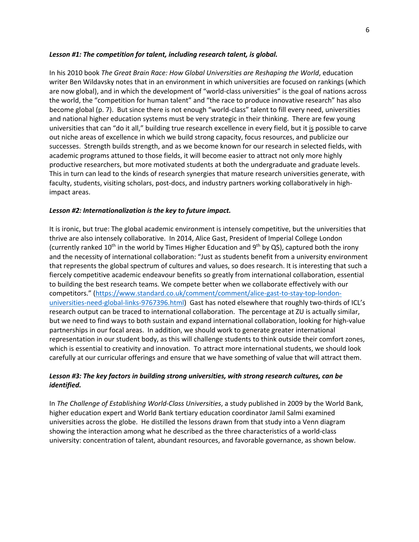#### *Lesson #1: The competition for talent, including research talent, is global.*

In his 2010 book *The Great Brain Race: How Global Universities are Reshaping the World*, education writer Ben Wildavsky notes that in an environment in which universities are focused on rankings (which are now global), and in which the development of "world-class universities" is the goal of nations across the world, the "competition for human talent" and "the race to produce innovative research" has also become global (p. 7). But since there is not enough "world-class" talent to fill every need, universities and national higher education systems must be very strategic in their thinking. There are few young universities that can "do it all," building true research excellence in every field, but it is possible to carve out niche areas of excellence in which we build strong capacity, focus resources, and publicize our successes. Strength builds strength, and as we become known for our research in selected fields, with academic programs attuned to those fields, it will become easier to attract not only more highly productive researchers, but more motivated students at both the undergraduate and graduate levels. This in turn can lead to the kinds of research synergies that mature research universities generate, with faculty, students, visiting scholars, post-docs, and industry partners working collaboratively in highimpact areas.

#### *Lesson #2: Internationalization is the key to future impact.*

It is ironic, but true: The global academic environment is intensely competitive, but the universities that thrive are also intensely collaborative. In 2014, Alice Gast, President of Imperial College London (currently ranked 10<sup>th</sup> in the world by Times Higher Education and 9<sup>th</sup> by QS), captured both the irony and the necessity of international collaboration: "Just as students benefit from a university environment that represents the global spectrum of cultures and values, so does research. It is interesting that such a fiercely competitive academic endeavour benefits so greatly from international collaboration, essential to building the best research teams. We compete better when we collaborate effectively with our competitors." (https://www.standard.co.uk/comment/comment/alice-gast-to-stay-top-londonuniversities-need-global-links-9767396.html) Gast has noted elsewhere that roughly two-thirds of ICL's research output can be traced to international collaboration. The percentage at ZU is actually similar, but we need to find ways to both sustain and expand international collaboration, looking for high-value partnerships in our focal areas. In addition, we should work to generate greater international representation in our student body, as this will challenge students to think outside their comfort zones, which is essential to creativity and innovation. To attract more international students, we should look carefully at our curricular offerings and ensure that we have something of value that will attract them.

# *Lesson #3: The key factors in building strong universities, with strong research cultures, can be identified.*

In *The Challenge of Establishing World-Class Universities*, a study published in 2009 by the World Bank, higher education expert and World Bank tertiary education coordinator Jamil Salmi examined universities across the globe. He distilled the lessons drawn from that study into a Venn diagram showing the interaction among what he described as the three characteristics of a world-class university: concentration of talent, abundant resources, and favorable governance, as shown below.